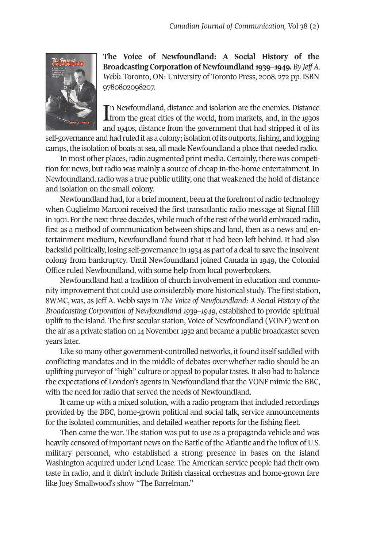

**The Voice of Newfoundland: A Social History of the Broadcasting Corporation of Newfoundland 1939–1949.** *By Jeff A. Webb.* Toronto, ON: University of Toronto Press, 2008. 272 pp. ISBN 9780802098207.

In Newfoundland, distance and isolation are the enemies. Distance from the great cities of the world, from markets, and, in the 1930s **L**e from the great cities of the world, from markets, and, in the 1930s and 1940s, distance from the government that had stripped it of its

self-governance and had ruled it as a colony; isolation of its outports, fishing, and logging camps, the isolation of boats at sea, all made Newfoundland a place that needed radio.

In most other places, radio augmented print media. Certainly, there was competition for news, but radio was mainly a source of cheap in-the-home entertainment. In Newfoundland, radio was a true public utility, one that weakened the hold of distance and isolation on the small colony.

Newfoundland had, for a brief moment, been at the forefront of radio technology when Guglielmo Marconi received the first transatlantic radio message at Signal Hill in 1901. For the next three decades, while much of the rest of the world embraced radio, first as a method of communication between ships and land, then as a news and entertainment medium, Newfoundland found that it had been left behind. It had also backslid politically, losing self-governance in 1934 as part of a dealto save the insolvent colony from bankruptcy. Until Newfoundland joined Canada in 1949, the Colonial Office ruled Newfoundland, with some help from local powerbrokers.

Newfoundland had a tradition of church involvement in education and community improvement that could use considerably more historical study. The first station, 8WMC, was, as Jeff A. Webb says in *The Voice of Newfoundland: A Social History of the Broadcasting Corporation of Newfoundland 1939–1949*, established to provide spiritual uplift to the island. The first secular station, Voice of Newfoundland (VONF) went on the air as a private station on 14 November 1932 and became a public broadcaster seven years later.

Like so many other government-controlled networks, it found itself saddled with conflicting mandates and in the middle of debates over whether radio should be an uplifting purveyor of "high" culture or appeal to populartastes. It also had to balance the expectations of London's agents in Newfoundland that the VONF mimic the BBC, with the need for radio that served the needs of Newfoundland.

It came up with a mixed solution, with a radio program that included recordings provided by the BBC, home-grown political and social talk, service announcements for the isolated communities, and detailed weather reports for the fishing fleet.

Then came the war. The station was put to use as a propaganda vehicle and was heavily censored of important news on the Battle of the Atlantic and the influx of U.S. military personnel, who established a strong presence in bases on the island Washington acquired under Lend Lease. The American service people had their own taste in radio, and it didn't include British classical orchestras and home-grown fare like Joey Smallwood's show "The Barrelman."